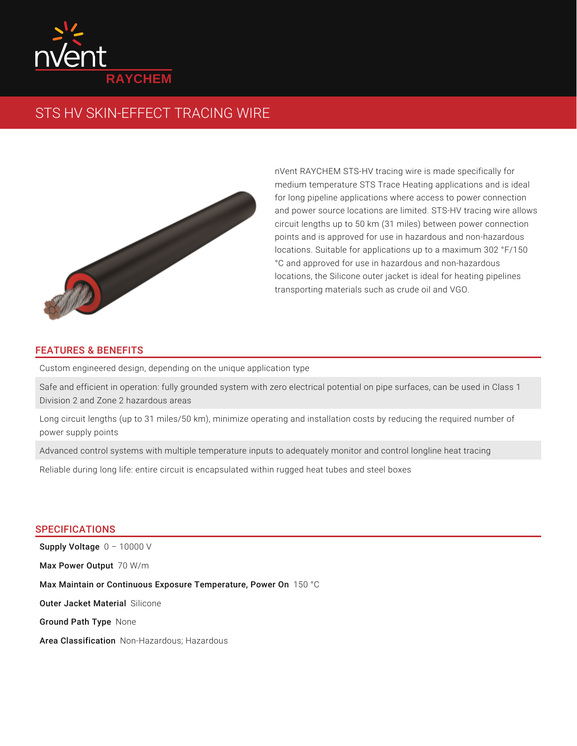

# STS HV SKIN-EFFECT TRACING WIRE



nVent RAYCHEM STS-HV tracing wire is made specifically for medium temperature STS Trace Heating applications and is ideal for long pipeline applications where access to power connection and power source locations are limited. STS-HV tracing wire allows circuit lengths up to 50 km (31 miles) between power connection points and is approved for use in hazardous and non-hazardous locations. Suitable for applications up to a maximum 302 °F/150 °C and approved for use in hazardous and non-hazardous locations, the Silicone outer jacket is ideal for heating pipelines transporting materials such as crude oil and VGO.

## FEATURES & BENEFITS

Custom engineered design, depending on the unique application type

Safe and efficient in operation: fully grounded system with zero electrical potential on pipe surfaces, can be used in Class 1 Division 2 and Zone 2 hazardous areas

Long circuit lengths (up to 31 miles/50 km), minimize operating and installation costs by reducing the required number of power supply points

Advanced control systems with multiple temperature inputs to adequately monitor and control longline heat tracing

Reliable during long life: entire circuit is encapsulated within rugged heat tubes and steel boxes

### SPECIFICATIONS

 ${\sf Supply~Voltage}$   $0$  – 10000  $\lor$ Max Power Output 70 W/m Max Maintain or Continuous Exposure Temperature, Power On  $\,$  150  $\,^{\circ}\mathrm{C}$ Outer Jacket Material Silicone Ground Path Type None Area Classification Non-Hazardous; Hazardous